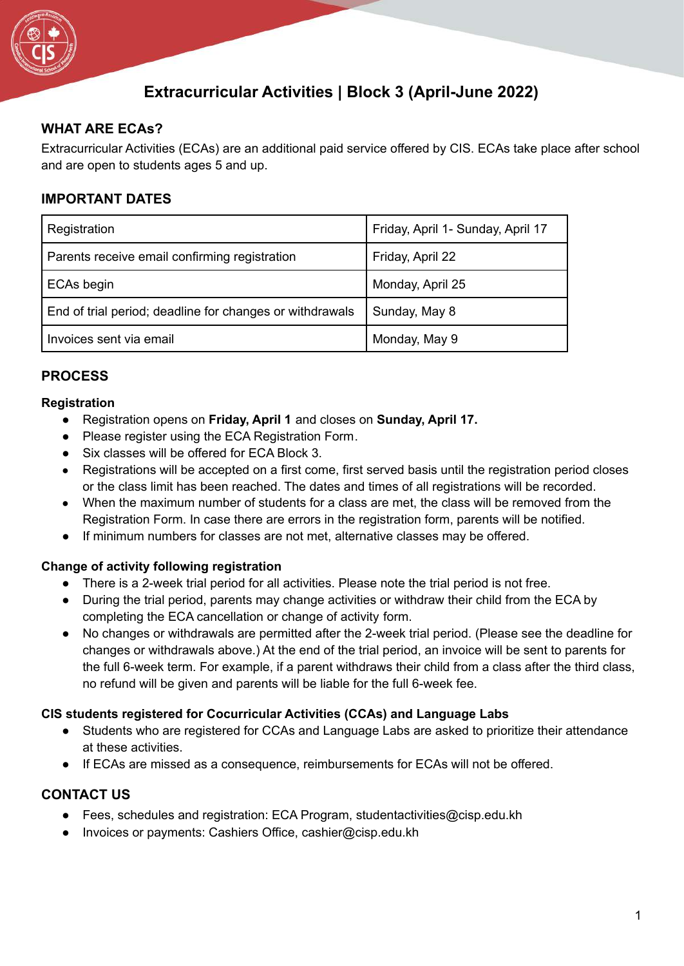

# **Extracurricular Activities | Block 3 (April-June 2022)**

## **WHAT ARE ECAs?**

Extracurricular Activities (ECAs) are an additional paid service offered by CIS. ECAs take place after school and are open to students ages 5 and up.

## **IMPORTANT DATES**

| Registration                                             | Friday, April 1- Sunday, April 17 |
|----------------------------------------------------------|-----------------------------------|
| Parents receive email confirming registration            | Friday, April 22                  |
| <b>ECAs begin</b>                                        | Monday, April 25                  |
| End of trial period; deadline for changes or withdrawals | Sunday, May 8                     |
| Invoices sent via email                                  | Monday, May 9                     |

### **PROCESS**

#### **Registration**

- Registration opens on **Friday, April 1** and closes on **Sunday, April 17.**
- Please register using the ECA Registration Form.
- Six classes will be offered for ECA Block 3.
- Registrations will be accepted on a first come, first served basis until the registration period closes or the class limit has been reached. The dates and times of all registrations will be recorded.
- When the maximum number of students for a class are met, the class will be removed from the Registration Form. In case there are errors in the registration form, parents will be notified.
- If minimum numbers for classes are not met, alternative classes may be offered.

#### **Change of activity following registration**

- There is a 2-week trial period for all activities. Please note the trial period is not free.
- During the trial period, parents may change activities or withdraw their child from the ECA by completing the ECA cancellation or change of activity form.
- No changes or withdrawals are permitted after the 2-week trial period. (Please see the deadline for changes or withdrawals above.) At the end of the trial period, an invoice will be sent to parents for the full 6-week term. For example, if a parent withdraws their child from a class after the third class, no refund will be given and parents will be liable for the full 6-week fee.

#### **CIS students registered for Cocurricular Activities (CCAs) and Language Labs**

- Students who are registered for CCAs and Language Labs are asked to prioritize their attendance at these activities.
- If ECAs are missed as a consequence, reimbursements for ECAs will not be offered.

#### **CONTACT US**

- Fees, schedules and registration: ECA Program, studentactivities@cisp.edu.kh
- Invoices or payments: Cashiers Office, cashier@cisp.edu.kh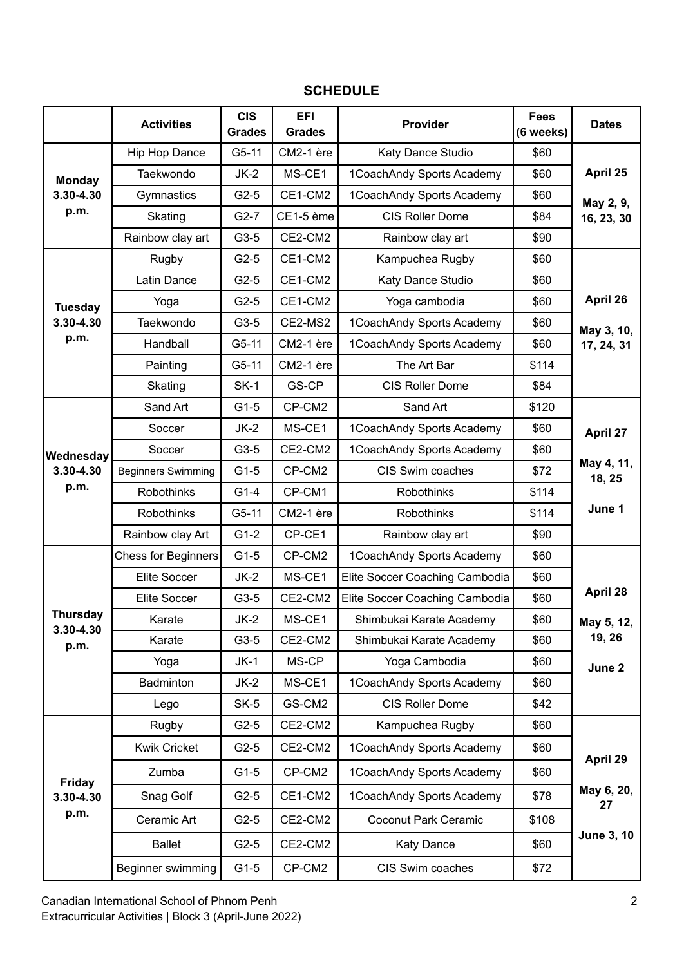## **SCHEDULE**

|                                    | <b>Activities</b>          | <b>CIS</b><br><b>Grades</b> | <b>EFI</b><br><b>Grades</b> | Provider                       | <b>Fees</b><br>(6 weeks) | <b>Dates</b>         |  |
|------------------------------------|----------------------------|-----------------------------|-----------------------------|--------------------------------|--------------------------|----------------------|--|
| <b>Monday</b><br>3.30-4.30         | Hip Hop Dance              | $G5-11$                     | CM2-1 ère                   | Katy Dance Studio              | \$60                     |                      |  |
|                                    | Taekwondo                  | $JK-2$                      | MS-CE1                      | 1CoachAndy Sports Academy      | \$60                     | April 25             |  |
|                                    | Gymnastics                 | $G2-5$                      | CE1-CM2                     | 1CoachAndy Sports Academy      | \$60                     | May 2, 9,            |  |
| p.m.                               | Skating                    | $G2-7$                      | CE1-5 ème                   | <b>CIS Roller Dome</b>         | \$84                     | 16, 23, 30           |  |
|                                    | Rainbow clay art           | G3-5                        | CE2-CM2                     | Rainbow clay art               | \$90                     |                      |  |
|                                    | Rugby                      | $G2-5$                      | CE1-CM2                     | Kampuchea Rugby                | \$60                     |                      |  |
|                                    | Latin Dance                | $G2-5$                      | CE1-CM2                     | Katy Dance Studio              | \$60                     |                      |  |
| <b>Tuesday</b>                     | Yoga                       | $G2-5$                      | CE1-CM2                     | Yoga cambodia                  | \$60                     | April 26             |  |
| 3.30-4.30                          | Taekwondo                  | G3-5                        | CE2-MS2                     | 1CoachAndy Sports Academy      | \$60                     | May 3, 10,           |  |
| p.m.                               | Handball                   | $G5-11$                     | CM2-1 ère                   | 1CoachAndy Sports Academy      | \$60                     | 17, 24, 31           |  |
|                                    | Painting                   | $G5-11$                     | CM2-1 ère                   | The Art Bar                    | \$114                    |                      |  |
|                                    | Skating                    | $SK-1$                      | GS-CP                       | CIS Roller Dome                | \$84                     |                      |  |
|                                    | Sand Art                   | $G1-5$                      | CP-CM2                      | Sand Art                       | \$120                    |                      |  |
| Wednesday                          | Soccer                     | $JK-2$                      | MS-CE1                      | 1CoachAndy Sports Academy      | \$60                     | April 27             |  |
|                                    | Soccer                     | $G3-5$                      | CE2-CM2                     | 1CoachAndy Sports Academy      | \$60                     |                      |  |
| 3.30-4.30                          | <b>Beginners Swimming</b>  | $G1-5$                      | CP-CM2                      | CIS Swim coaches               | \$72                     | May 4, 11,<br>18, 25 |  |
| p.m.                               | Robothinks                 | $G1-4$                      | CP-CM1                      | Robothinks                     | \$114                    |                      |  |
|                                    | Robothinks                 | $G5-11$                     | CM2-1 ère                   | Robothinks                     | \$114                    | June 1               |  |
|                                    | Rainbow clay Art           | $G1-2$                      | CP-CE1                      | Rainbow clay art               | \$90                     |                      |  |
|                                    | <b>Chess for Beginners</b> | $G1-5$                      | CP-CM2                      | 1CoachAndy Sports Academy      | \$60                     |                      |  |
|                                    | Elite Soccer               | $JK-2$                      | MS-CE1                      | Elite Soccer Coaching Cambodia | \$60                     |                      |  |
|                                    | <b>Elite Soccer</b>        | $G3-5$                      | CE2-CM2                     | Elite Soccer Coaching Cambodia | \$60                     | April 28             |  |
| <b>Thursday</b><br>3.30-4.30       | Karate                     | $JK-2$                      | MS-CE1                      | Shimbukai Karate Academy       | \$60                     | May 5, 12,           |  |
| p.m.                               | Karate                     | $G3-5$                      | CE2-CM2                     | Shimbukai Karate Academy       | \$60                     | 19, 26               |  |
|                                    | Yoga                       | $JK-1$                      | MS-CP                       | Yoga Cambodia                  | \$60                     | June 2               |  |
|                                    | Badminton                  | $JK-2$                      | MS-CE1                      | 1CoachAndy Sports Academy      | \$60                     |                      |  |
|                                    | Lego                       | $SK-5$                      | GS-CM2                      | CIS Roller Dome                | \$42                     |                      |  |
|                                    | Rugby                      | $G2-5$                      | CE2-CM2                     | Kampuchea Rugby                | \$60                     |                      |  |
| <b>Friday</b><br>3.30-4.30<br>p.m. | <b>Kwik Cricket</b>        | $G2-5$                      | CE2-CM2                     | 1CoachAndy Sports Academy      | \$60                     |                      |  |
|                                    | Zumba                      | $G1-5$                      | CP-CM2                      | 1CoachAndy Sports Academy      | \$60                     | April 29             |  |
|                                    | Snag Golf                  | $G2-5$                      | CE1-CM2                     | 1CoachAndy Sports Academy      | \$78                     | May 6, 20,<br>27     |  |
|                                    | Ceramic Art                | $G2-5$                      | CE2-CM2                     | <b>Coconut Park Ceramic</b>    | \$108                    |                      |  |
|                                    | <b>Ballet</b>              | $G2-5$                      | CE2-CM2                     | <b>Katy Dance</b>              | \$60                     | <b>June 3, 10</b>    |  |
|                                    | Beginner swimming          | $G1-5$                      | CP-CM2                      | CIS Swim coaches               | \$72                     |                      |  |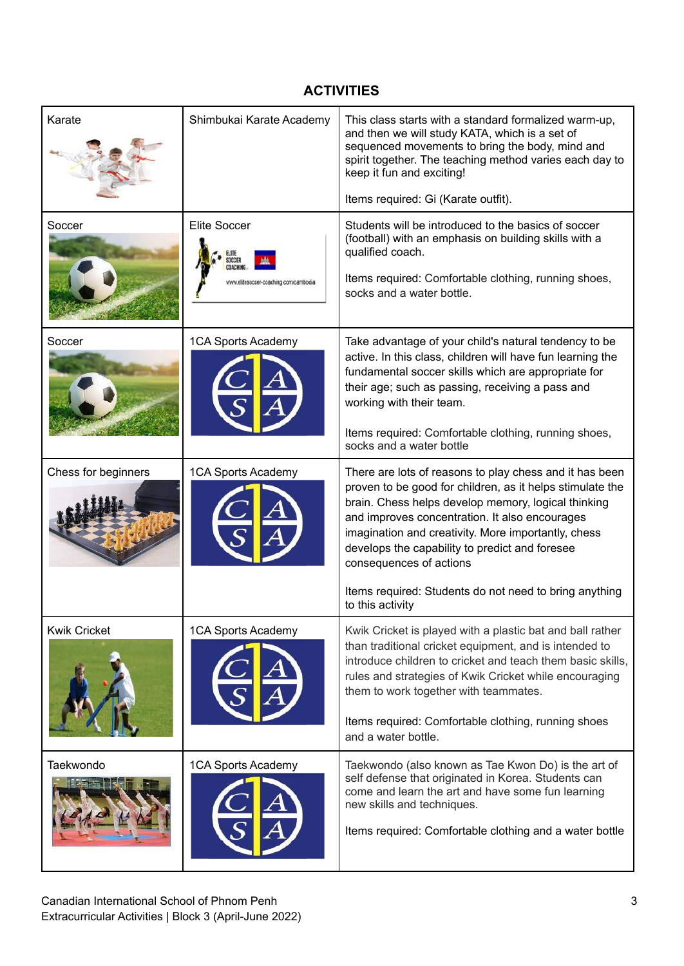# **ACTIVITIES**

| Karate              | Shimbukai Karate Academy                                     | This class starts with a standard formalized warm-up,<br>and then we will study KATA, which is a set of<br>sequenced movements to bring the body, mind and<br>spirit together. The teaching method varies each day to<br>keep it fun and exciting!<br>Items required: Gi (Karate outfit).                                                                         |
|---------------------|--------------------------------------------------------------|-------------------------------------------------------------------------------------------------------------------------------------------------------------------------------------------------------------------------------------------------------------------------------------------------------------------------------------------------------------------|
| Soccer              | <b>Elite Soccer</b><br>www.elitesoccer-coaching.com/cambodia | Students will be introduced to the basics of soccer<br>(football) with an emphasis on building skills with a<br>qualified coach.<br>Items required: Comfortable clothing, running shoes,<br>socks and a water bottle.                                                                                                                                             |
| Soccer              | 1CA Sports Academy                                           | Take advantage of your child's natural tendency to be<br>active. In this class, children will have fun learning the<br>fundamental soccer skills which are appropriate for<br>their age; such as passing, receiving a pass and<br>working with their team.<br>Items required: Comfortable clothing, running shoes,<br>socks and a water bottle                    |
| Chess for beginners | 1CA Sports Academy                                           | There are lots of reasons to play chess and it has been<br>proven to be good for children, as it helps stimulate the<br>brain. Chess helps develop memory, logical thinking<br>and improves concentration. It also encourages<br>imagination and creativity. More importantly, chess<br>develops the capability to predict and foresee<br>consequences of actions |
|                     |                                                              | Items required: Students do not need to bring anything<br>to this activity                                                                                                                                                                                                                                                                                        |
| <b>Kwik Cricket</b> | 1CA Sports Academy                                           | Kwik Cricket is played with a plastic bat and ball rather<br>than traditional cricket equipment, and is intended to<br>introduce children to cricket and teach them basic skills,<br>rules and strategies of Kwik Cricket while encouraging<br>them to work together with teammates.<br>Items required: Comfortable clothing, running shoes                       |
|                     |                                                              | and a water bottle.                                                                                                                                                                                                                                                                                                                                               |
| Taekwondo           | 1CA Sports Academy                                           | Taekwondo (also known as Tae Kwon Do) is the art of<br>self defense that originated in Korea. Students can<br>come and learn the art and have some fun learning<br>new skills and techniques.<br>Items required: Comfortable clothing and a water bottle                                                                                                          |
|                     |                                                              |                                                                                                                                                                                                                                                                                                                                                                   |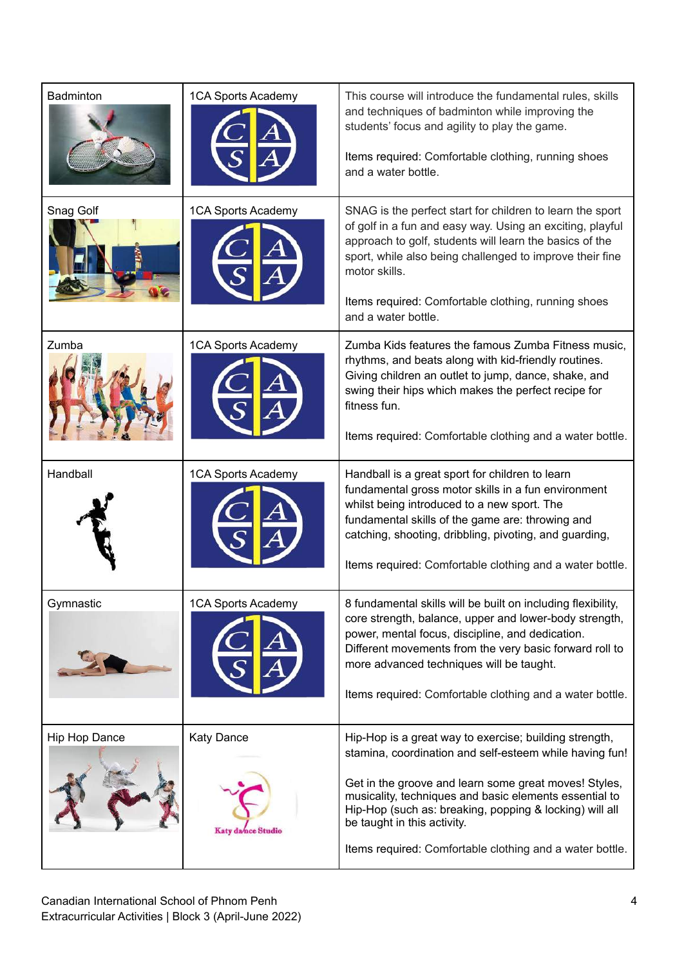| Badminton     | 1CA Sports Academy                      | This course will introduce the fundamental rules, skills<br>and techniques of badminton while improving the<br>students' focus and agility to play the game.<br>Items required: Comfortable clothing, running shoes<br>and a water bottle.                                                                                                                                                 |
|---------------|-----------------------------------------|--------------------------------------------------------------------------------------------------------------------------------------------------------------------------------------------------------------------------------------------------------------------------------------------------------------------------------------------------------------------------------------------|
| Snag Golf     | 1CA Sports Academy                      | SNAG is the perfect start for children to learn the sport<br>of golf in a fun and easy way. Using an exciting, playful<br>approach to golf, students will learn the basics of the<br>sport, while also being challenged to improve their fine<br>motor skills.<br>Items required: Comfortable clothing, running shoes<br>and a water bottle.                                               |
| Zumba         | 1CA Sports Academy                      | Zumba Kids features the famous Zumba Fitness music.<br>rhythms, and beats along with kid-friendly routines.<br>Giving children an outlet to jump, dance, shake, and<br>swing their hips which makes the perfect recipe for<br>fitness fun.<br>Items required: Comfortable clothing and a water bottle.                                                                                     |
| Handball      | 1CA Sports Academy                      | Handball is a great sport for children to learn<br>fundamental gross motor skills in a fun environment<br>whilst being introduced to a new sport. The<br>fundamental skills of the game are: throwing and<br>catching, shooting, dribbling, pivoting, and guarding,<br>Items required: Comfortable clothing and a water bottle.                                                            |
| Gymnastic     | 1CA Sports Academy                      | 8 fundamental skills will be built on including flexibility,<br>core strength, balance, upper and lower-body strength,<br>power, mental focus, discipline, and dedication.<br>Different movements from the very basic forward roll to<br>more advanced techniques will be taught.<br>Items required: Comfortable clothing and a water bottle.                                              |
| Hip Hop Dance | <b>Katy Dance</b><br>Katy da/nce Studio | Hip-Hop is a great way to exercise; building strength,<br>stamina, coordination and self-esteem while having fun!<br>Get in the groove and learn some great moves! Styles,<br>musicality, techniques and basic elements essential to<br>Hip-Hop (such as: breaking, popping & locking) will all<br>be taught in this activity.<br>Items required: Comfortable clothing and a water bottle. |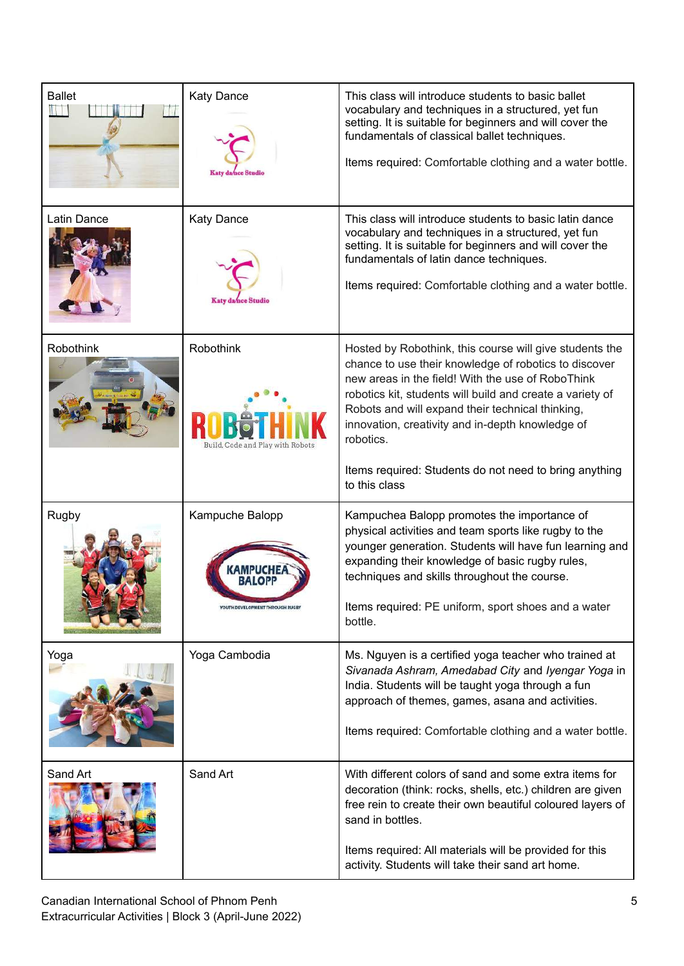| <b>Ballet</b> | <b>Katy Dance</b>                                    | This class will introduce students to basic ballet<br>vocabulary and techniques in a structured, yet fun<br>setting. It is suitable for beginners and will cover the<br>fundamentals of classical ballet techniques.<br>Items required: Comfortable clothing and a water bottle.                                                                                                                                  |
|---------------|------------------------------------------------------|-------------------------------------------------------------------------------------------------------------------------------------------------------------------------------------------------------------------------------------------------------------------------------------------------------------------------------------------------------------------------------------------------------------------|
| Latin Dance   | <b>Katy Dance</b><br>Katy da/nce Studio              | This class will introduce students to basic latin dance<br>vocabulary and techniques in a structured, yet fun<br>setting. It is suitable for beginners and will cover the<br>fundamentals of latin dance techniques.<br>Items required: Comfortable clothing and a water bottle.                                                                                                                                  |
| Robothink     | <b>Robothink</b><br>Build, Code and Play with Robots | Hosted by Robothink, this course will give students the<br>chance to use their knowledge of robotics to discover<br>new areas in the field! With the use of RoboThink<br>robotics kit, students will build and create a variety of<br>Robots and will expand their technical thinking,<br>innovation, creativity and in-depth knowledge of<br>robotics.<br>Items required: Students do not need to bring anything |
|               |                                                      | to this class                                                                                                                                                                                                                                                                                                                                                                                                     |
| Rugby         | Kampuche Balopp<br>YOUTH DEVELOPMENT THROUGH RUGBY   | Kampuchea Balopp promotes the importance of<br>physical activities and team sports like rugby to the<br>younger generation. Students will have fun learning and<br>expanding their knowledge of basic rugby rules,<br>techniques and skills throughout the course.<br>Items required: PE uniform, sport shoes and a water                                                                                         |
|               |                                                      | bottle.                                                                                                                                                                                                                                                                                                                                                                                                           |
| Yoga          | Yoga Cambodia                                        | Ms. Nguyen is a certified yoga teacher who trained at<br>Sivanada Ashram, Amedabad City and Iyengar Yoga in<br>India. Students will be taught yoga through a fun<br>approach of themes, games, asana and activities.<br>Items required: Comfortable clothing and a water bottle.                                                                                                                                  |
| Sand Art      | Sand Art                                             | With different colors of sand and some extra items for<br>decoration (think: rocks, shells, etc.) children are given<br>free rein to create their own beautiful coloured layers of<br>sand in bottles.<br>Items required: All materials will be provided for this<br>activity. Students will take their sand art home.                                                                                            |